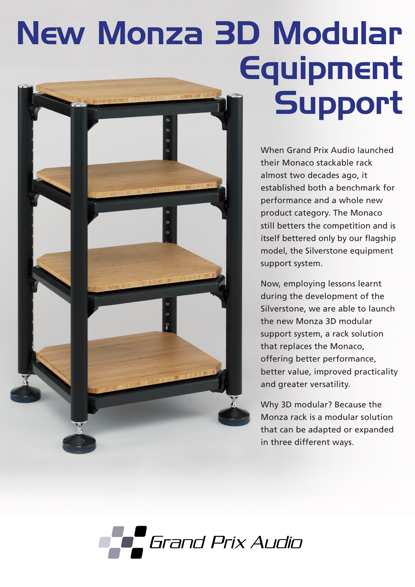# New Monza 3D Modular Equipment Support  $\circ$

 $\circ$ 

When Grand Prix Audio launched their Monaco stackable rack almost two decades ago, it established both a benchmark for performance and a whole new product category. The Monaco still betters the competition and is itself bettered only by our flagship model, the Silverstone equipment support system.

Now, employing lessons learnt during the development of the Silverstone, we are able to launch the new Monza 3D modular support system, a rack solution that replaces the Monaco, offering better performance, better value, improved practicality and greater versatility.

Why 3D modular? Because the Monza rack is a modular solution that can be adapted or expanded in three different ways.